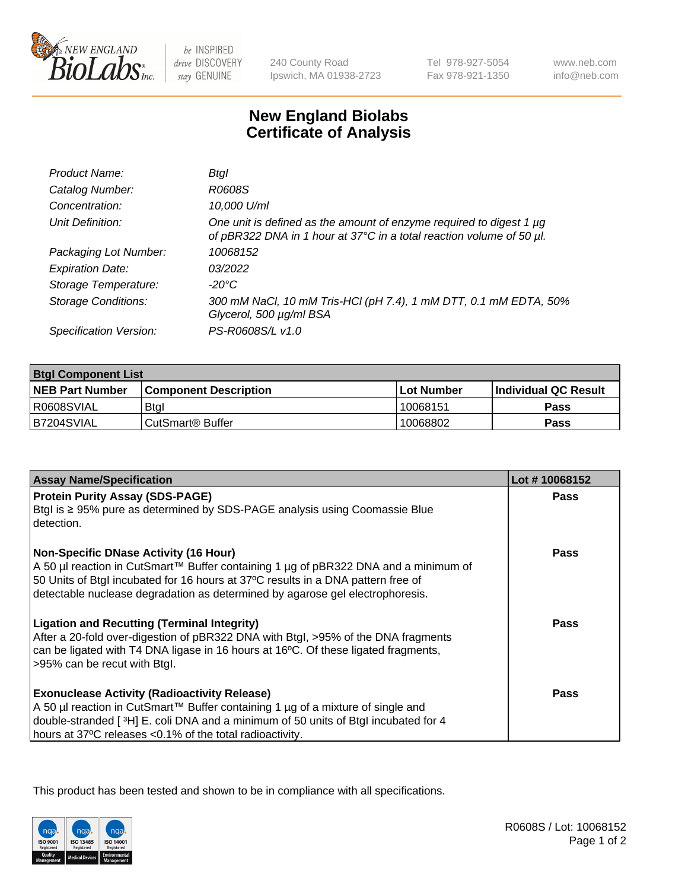

be INSPIRED drive DISCOVERY stay GENUINE

240 County Road Ipswich, MA 01938-2723 Tel 978-927-5054 Fax 978-921-1350

www.neb.com info@neb.com

## **New England Biolabs Certificate of Analysis**

| Product Name:              | Btgl                                                                                                                                             |
|----------------------------|--------------------------------------------------------------------------------------------------------------------------------------------------|
| Catalog Number:            | R0608S                                                                                                                                           |
| Concentration:             | 10,000 U/ml                                                                                                                                      |
| Unit Definition:           | One unit is defined as the amount of enzyme required to digest 1 $\mu$ g<br>of pBR322 DNA in 1 hour at 37°C in a total reaction volume of 50 µl. |
| Packaging Lot Number:      | 10068152                                                                                                                                         |
| <b>Expiration Date:</b>    | 03/2022                                                                                                                                          |
| Storage Temperature:       | -20°C                                                                                                                                            |
| <b>Storage Conditions:</b> | 300 mM NaCl, 10 mM Tris-HCl (pH 7.4), 1 mM DTT, 0.1 mM EDTA, 50%<br>Glycerol, 500 µg/ml BSA                                                      |
| Specification Version:     | PS-R0608S/L v1.0                                                                                                                                 |

| <b>Btgl Component List</b> |                              |             |                             |  |
|----------------------------|------------------------------|-------------|-----------------------------|--|
| <b>NEB Part Number</b>     | <b>Component Description</b> | ⊺Lot Number | <b>Individual QC Result</b> |  |
| R0608SVIAL                 | <b>Btgl</b>                  | 10068151    | Pass                        |  |
| B7204SVIAL                 | l CutSmart® Buffer_          | 10068802    | Pass                        |  |

| <b>Assay Name/Specification</b>                                                                                                                                                                                                                                                                          | Lot #10068152 |
|----------------------------------------------------------------------------------------------------------------------------------------------------------------------------------------------------------------------------------------------------------------------------------------------------------|---------------|
| <b>Protein Purity Assay (SDS-PAGE)</b><br>Btgl is ≥ 95% pure as determined by SDS-PAGE analysis using Coomassie Blue<br>detection.                                                                                                                                                                       | Pass          |
| <b>Non-Specific DNase Activity (16 Hour)</b><br>A 50 µl reaction in CutSmart™ Buffer containing 1 µg of pBR322 DNA and a minimum of<br>50 Units of Btgl incubated for 16 hours at 37°C results in a DNA pattern free of<br>detectable nuclease degradation as determined by agarose gel electrophoresis. | Pass          |
| <b>Ligation and Recutting (Terminal Integrity)</b><br>After a 20-fold over-digestion of pBR322 DNA with Btgl, >95% of the DNA fragments<br>can be ligated with T4 DNA ligase in 16 hours at 16°C. Of these ligated fragments,<br>>95% can be recut with Btgl.                                            | Pass          |
| <b>Exonuclease Activity (Radioactivity Release)</b><br>A 50 µl reaction in CutSmart™ Buffer containing 1 µg of a mixture of single and<br>double-stranded [3H] E. coli DNA and a minimum of 50 units of Btgl incubated for 4<br>hours at 37°C releases <0.1% of the total radioactivity.                 | Pass          |

This product has been tested and shown to be in compliance with all specifications.